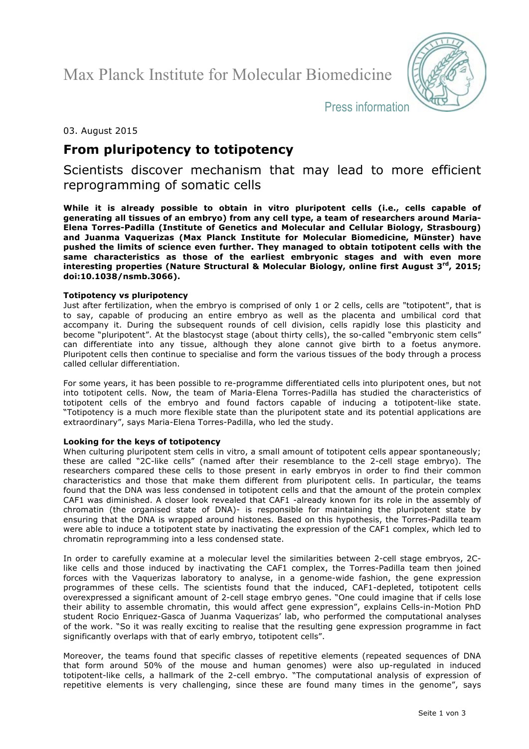Max Planck Institute for Molecular Biomedicine



Press information

# 03. August 2015

# **From pluripotency to totipotency**

Scientists discover mechanism that may lead to more efficient reprogramming of somatic cells

**While it is already possible to obtain in vitro pluripotent cells (i.e., cells capable of generating all tissues of an embryo) from any cell type, a team of researchers around Maria-Elena Torres-Padilla (Institute of Genetics and Molecular and Cellular Biology, Strasbourg) and Juanma Vaquerizas (Max Planck Institute for Molecular Biomedicine, Münster) have pushed the limits of science even further. They managed to obtain totipotent cells with the same characteristics as those of the earliest embryonic stages and with even more interesting properties (Nature Structural & Molecular Biology, online first August 3rd, 2015; doi:10.1038/nsmb.3066).**

# **Totipotency vs pluripotency**

Just after fertilization, when the embryo is comprised of only 1 or 2 cells, cells are "totipotent", that is to say, capable of producing an entire embryo as well as the placenta and umbilical cord that accompany it. During the subsequent rounds of cell division, cells rapidly lose this plasticity and become "pluripotent". At the blastocyst stage (about thirty cells), the so-called "embryonic stem cells" can differentiate into any tissue, although they alone cannot give birth to a foetus anymore. Pluripotent cells then continue to specialise and form the various tissues of the body through a process called cellular differentiation.

For some years, it has been possible to re-programme differentiated cells into pluripotent ones, but not into totipotent cells. Now, the team of Maria-Elena Torres-Padilla has studied the characteristics of totipotent cells of the embryo and found factors capable of inducing a totipotent-like state. "Totipotency is a much more flexible state than the pluripotent state and its potential applications are extraordinary", says Maria-Elena Torres-Padilla, who led the study.

# **Looking for the keys of totipotency**

When culturing pluripotent stem cells in vitro, a small amount of totipotent cells appear spontaneously; these are called "2C-like cells" (named after their resemblance to the 2-cell stage embryo). The researchers compared these cells to those present in early embryos in order to find their common characteristics and those that make them different from pluripotent cells. In particular, the teams found that the DNA was less condensed in totipotent cells and that the amount of the protein complex CAF1 was diminished. A closer look revealed that CAF1 -already known for its role in the assembly of chromatin (the organised state of DNA)- is responsible for maintaining the pluripotent state by ensuring that the DNA is wrapped around histones. Based on this hypothesis, the Torres-Padilla team were able to induce a totipotent state by inactivating the expression of the CAF1 complex, which led to chromatin reprogramming into a less condensed state.

In order to carefully examine at a molecular level the similarities between 2-cell stage embryos, 2Clike cells and those induced by inactivating the CAF1 complex, the Torres-Padilla team then joined forces with the Vaquerizas laboratory to analyse, in a genome-wide fashion, the gene expression programmes of these cells. The scientists found that the induced, CAF1-depleted, totipotent cells overexpressed a significant amount of 2-cell stage embryo genes. "One could imagine that if cells lose their ability to assemble chromatin, this would affect gene expression", explains Cells-in-Motion PhD student Rocio Enriquez-Gasca of Juanma Vaquerizas' lab, who performed the computational analyses of the work. "So it was really exciting to realise that the resulting gene expression programme in fact significantly overlaps with that of early embryo, totipotent cells".

Moreover, the teams found that specific classes of repetitive elements (repeated sequences of DNA that form around 50% of the mouse and human genomes) were also up-regulated in induced totipotent-like cells, a hallmark of the 2-cell embryo. "The computational analysis of expression of repetitive elements is very challenging, since these are found many times in the genome", says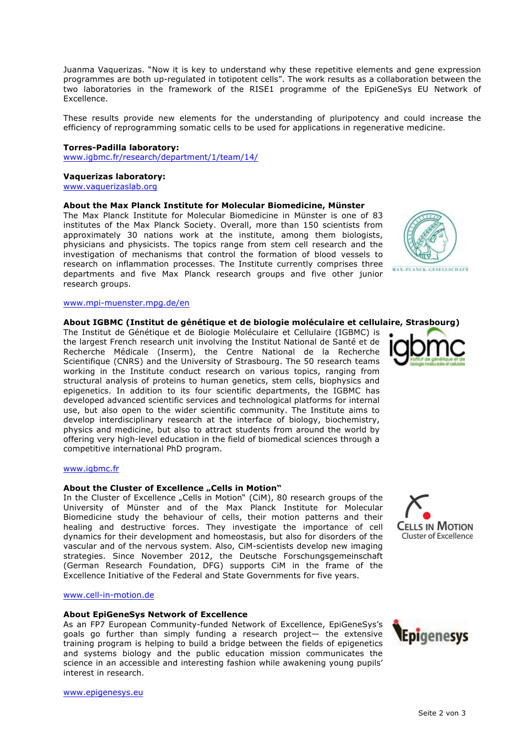Juanma Vaquerizas. "Now it is key to understand why these repetitive elements and gene expression programmes are both up-regulated in totipotent cells". The work results as a collaboration between the two laboratories in the framework of the RISE1 programme of the EpiGeneSys EU Network of Excellence.

These results provide new elements for the understanding of pluripotency and could increase the efficiency of reprogramming somatic cells to be used for applications in regenerative medicine.

#### **Torres-Padilla laboratory:**

www.igbmc.fr/research/department/1/team/14/

#### **Vaquerizas laboratory:**

www.vaquerizaslab.org

## **About the Max Planck Institute for Molecular Biomedicine, Münster**

The Max Planck Institute for Molecular Biomedicine in Münster is one of 83 institutes of the Max Planck Society. Overall, more than 150 scientists from approximately 30 nations work at the institute, among them biologists, physicians and physicists. The topics range from stem cell research and the investigation of mechanisms that control the formation of blood vessels to research on inflammation processes. The Institute currently comprises three departments and five Max Planck research groups and five other junior research groups.

#### www.mpi-muenster.mpg.de/en

## **About IGBMC (Institut de génétique et de biologie moléculaire et cellulaire, Strasbourg)**

The Institut de Génétique et de Biologie Moléculaire et Cellulaire (IGBMC) is the largest French research unit involving the Institut National de Santé et de Recherche Médicale (Inserm), the Centre National de la Recherche Scientifique (CNRS) and the University of Strasbourg. The 50 research teams working in the Institute conduct research on various topics, ranging from structural analysis of proteins to human genetics, stem cells, biophysics and epigenetics. In addition to its four scientific departments, the IGBMC has developed advanced scientific services and technological platforms for internal use, but also open to the wider scientific community. The Institute aims to develop interdisciplinary research at the interface of biology, biochemistry, physics and medicine, but also to attract students from around the world by offering very high-level education in the field of biomedical sciences through a competitive international PhD program.

#### www.igbmc.fr

## About the Cluster of Excellence "Cells in Motion"

In the Cluster of Excellence "Cells in Motion" (CiM), 80 research groups of the University of Münster and of the Max Planck Institute for Molecular Biomedicine study the behaviour of cells, their motion patterns and their healing and destructive forces. They investigate the importance of cell dynamics for their development and homeostasis, but also for disorders of the vascular and of the nervous system. Also, CiM-scientists develop new imaging strategies. Since November 2012, the Deutsche Forschungsgemeinschaft (German Research Foundation, DFG) supports CiM in the frame of the Excellence Initiative of the Federal and State Governments for five years.

## www.cell-in-motion.de

#### **About EpiGeneSys Network of Excellence**

As an FP7 European Community-funded Network of Excellence, EpiGeneSys's goals go further than simply funding a research project— the extensive training program is helping to build a bridge between the fields of epigenetics and systems biology and the public education mission communicates the science in an accessible and interesting fashion while awakening young pupils' interest in research.



**MAX-PLANCK-GESELLSCHAFT**